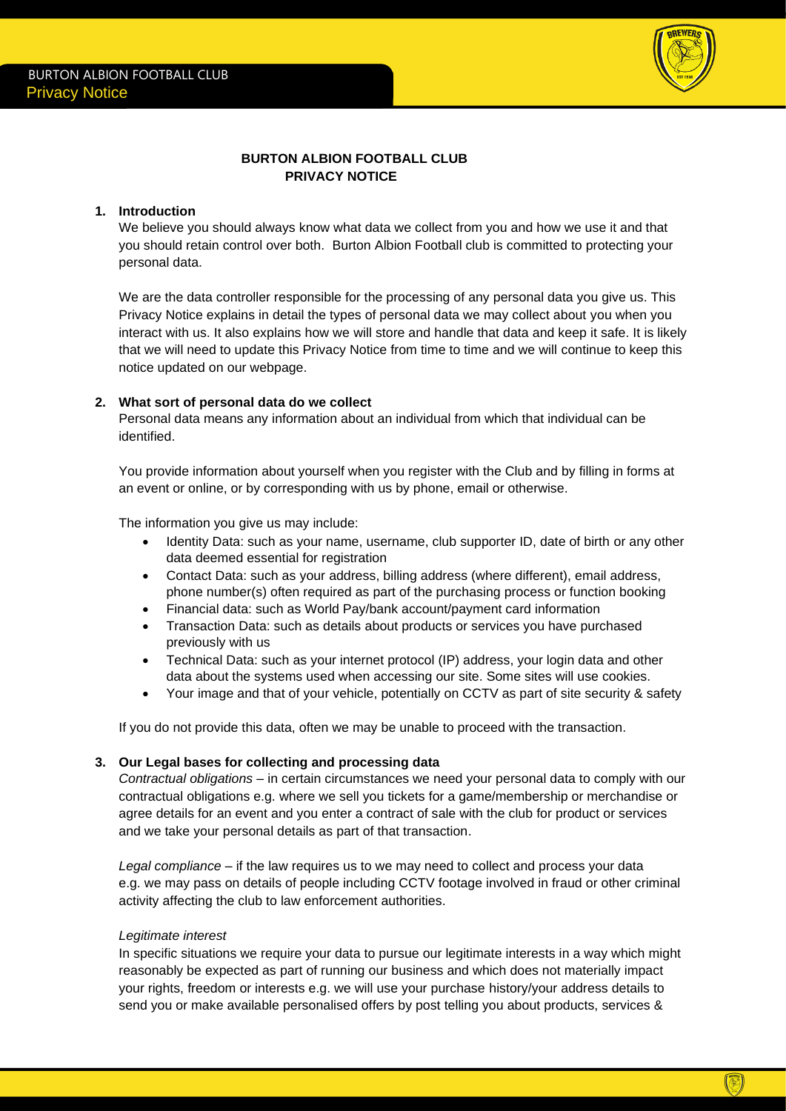

# **BURTON ALBION FOOTBALL CLUB PRIVACY NOTICE**

### **1. Introduction**

We believe you should always know what data we collect from you and how we use it and that you should retain control over both. Burton Albion Football club is committed to protecting your personal data.

We are the data controller responsible for the processing of any personal data you give us. This Privacy Notice explains in detail the types of personal data we may collect about you when you interact with us. It also explains how we will store and handle that data and keep it safe. It is likely that we will need to update this Privacy Notice from time to time and we will continue to keep this notice updated on our webpage.

## **2. What sort of personal data do we collect**

Personal data means any information about an individual from which that individual can be identified.

You provide information about yourself when you register with the Club and by filling in forms at an event or online, or by corresponding with us by phone, email or otherwise.

The information you give us may include:

- Identity Data: such as your name, username, club supporter ID, date of birth or any other data deemed essential for registration
- Contact Data: such as your address, billing address (where different), email address, phone number(s) often required as part of the purchasing process or function booking
- Financial data: such as World Pay/bank account/payment card information
- Transaction Data: such as details about products or services you have purchased previously with us
- Technical Data: such as your internet protocol (IP) address, your login data and other data about the systems used when accessing our site. Some sites will use cookies.
- Your image and that of your vehicle, potentially on CCTV as part of site security & safety

If you do not provide this data, often we may be unable to proceed with the transaction.

#### **3. Our Legal bases for collecting and processing data**

*Contractual obligations* – in certain circumstances we need your personal data to comply with our contractual obligations e.g. where we sell you tickets for a game/membership or merchandise or agree details for an event and you enter a contract of sale with the club for product or services and we take your personal details as part of that transaction.

*Legal compliance* – if the law requires us to we may need to collect and process your data e.g. we may pass on details of people including CCTV footage involved in fraud or other criminal activity affecting the club to law enforcement authorities.

#### *Legitimate interest*

In specific situations we require your data to pursue our legitimate interests in a way which might reasonably be expected as part of running our business and which does not materially impact your rights, freedom or interests e.g. we will use your purchase history/your address details to send you or make available personalised offers by post telling you about products, services &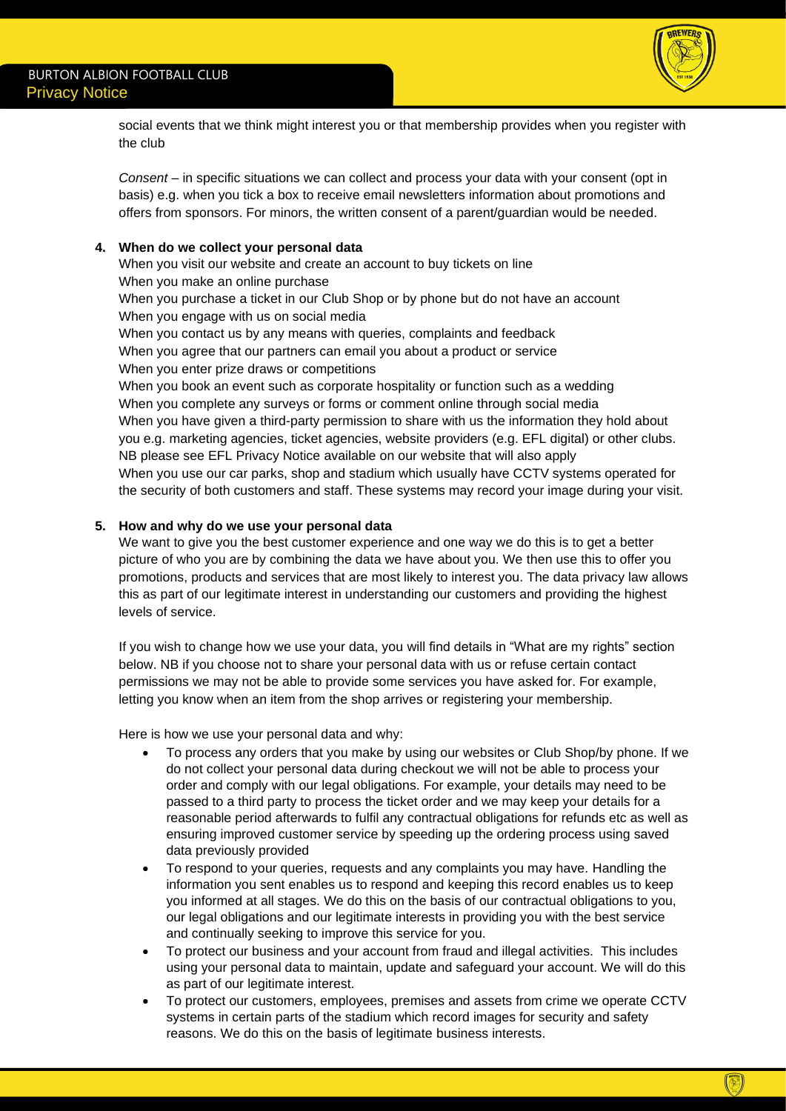

social events that we think might interest you or that membership provides when you register with the club

*Consent* – in specific situations we can collect and process your data with your consent (opt in basis) e.g. when you tick a box to receive email newsletters information about promotions and offers from sponsors. For minors, the written consent of a parent/guardian would be needed.

## **4. When do we collect your personal data**

When you visit our website and create an account to buy tickets on line When you make an online purchase When you purchase a ticket in our Club Shop or by phone but do not have an account When you engage with us on social media When you contact us by any means with queries, complaints and feedback When you agree that our partners can email you about a product or service When you enter prize draws or competitions When you book an event such as corporate hospitality or function such as a wedding When you complete any surveys or forms or comment online through social media When you have given a third-party permission to share with us the information they hold about you e.g. marketing agencies, ticket agencies, website providers (e.g. EFL digital) or other clubs. NB please see EFL Privacy Notice available on our website that will also apply When you use our car parks, shop and stadium which usually have CCTV systems operated for the security of both customers and staff. These systems may record your image during your visit.

### **5. How and why do we use your personal data**

We want to give you the best customer experience and one way we do this is to get a better picture of who you are by combining the data we have about you. We then use this to offer you promotions, products and services that are most likely to interest you. The data privacy law allows this as part of our legitimate interest in understanding our customers and providing the highest levels of service.

If you wish to change how we use your data, you will find details in "What are my rights" section below. NB if you choose not to share your personal data with us or refuse certain contact permissions we may not be able to provide some services you have asked for. For example, letting you know when an item from the shop arrives or registering your membership.

Here is how we use your personal data and why:

- To process any orders that you make by using our websites or Club Shop/by phone. If we do not collect your personal data during checkout we will not be able to process your order and comply with our legal obligations. For example, your details may need to be passed to a third party to process the ticket order and we may keep your details for a reasonable period afterwards to fulfil any contractual obligations for refunds etc as well as ensuring improved customer service by speeding up the ordering process using saved data previously provided
- To respond to your queries, requests and any complaints you may have. Handling the information you sent enables us to respond and keeping this record enables us to keep you informed at all stages. We do this on the basis of our contractual obligations to you, our legal obligations and our legitimate interests in providing you with the best service and continually seeking to improve this service for you.
- To protect our business and your account from fraud and illegal activities. This includes using your personal data to maintain, update and safeguard your account. We will do this as part of our legitimate interest.
- To protect our customers, employees, premises and assets from crime we operate CCTV systems in certain parts of the stadium which record images for security and safety reasons. We do this on the basis of legitimate business interests.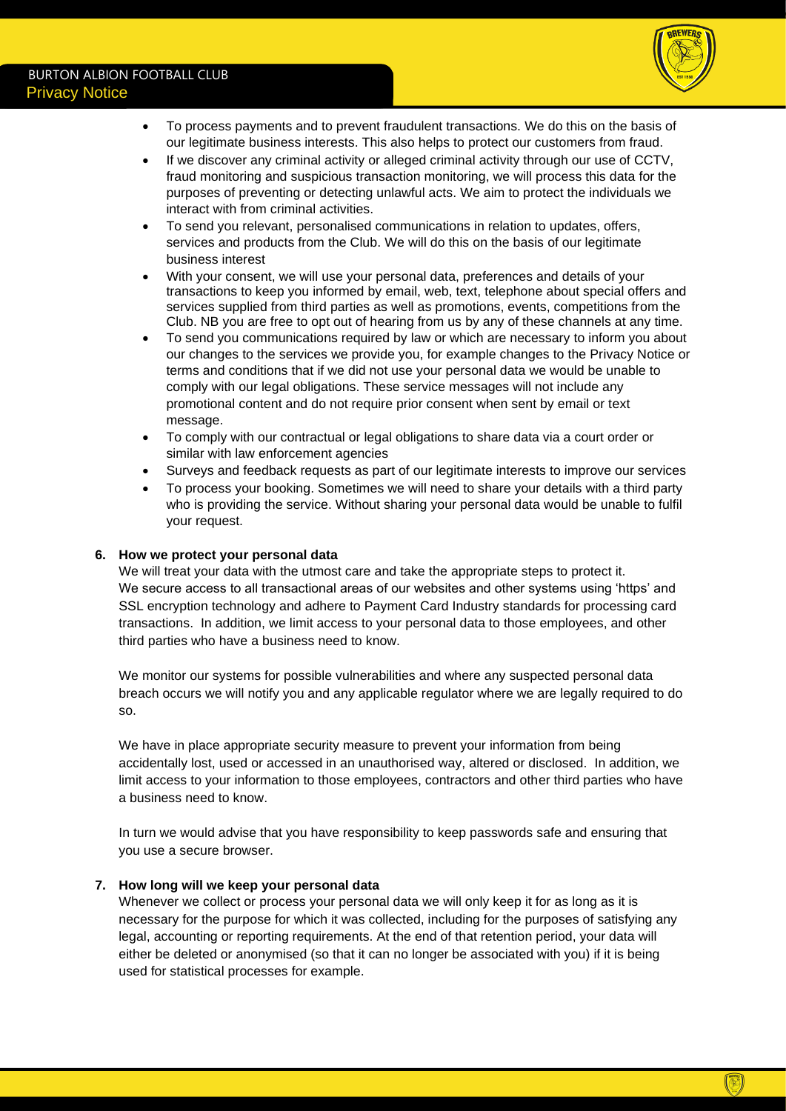

- To process payments and to prevent fraudulent transactions. We do this on the basis of our legitimate business interests. This also helps to protect our customers from fraud.
- If we discover any criminal activity or alleged criminal activity through our use of CCTV, fraud monitoring and suspicious transaction monitoring, we will process this data for the purposes of preventing or detecting unlawful acts. We aim to protect the individuals we interact with from criminal activities.
- To send you relevant, personalised communications in relation to updates, offers, services and products from the Club. We will do this on the basis of our legitimate business interest
- With your consent, we will use your personal data, preferences and details of your transactions to keep you informed by email, web, text, telephone about special offers and services supplied from third parties as well as promotions, events, competitions from the Club. NB you are free to opt out of hearing from us by any of these channels at any time.
- To send you communications required by law or which are necessary to inform you about our changes to the services we provide you, for example changes to the Privacy Notice or terms and conditions that if we did not use your personal data we would be unable to comply with our legal obligations. These service messages will not include any promotional content and do not require prior consent when sent by email or text message.
- To comply with our contractual or legal obligations to share data via a court order or similar with law enforcement agencies
- Surveys and feedback requests as part of our legitimate interests to improve our services
- To process your booking. Sometimes we will need to share your details with a third party who is providing the service. Without sharing your personal data would be unable to fulfil your request.

## **6. How we protect your personal data**

We will treat your data with the utmost care and take the appropriate steps to protect it. We secure access to all transactional areas of our websites and other systems using 'https' and SSL encryption technology and adhere to Payment Card Industry standards for processing card transactions. In addition, we limit access to your personal data to those employees, and other third parties who have a business need to know.

We monitor our systems for possible vulnerabilities and where any suspected personal data breach occurs we will notify you and any applicable regulator where we are legally required to do so.

We have in place appropriate security measure to prevent your information from being accidentally lost, used or accessed in an unauthorised way, altered or disclosed. In addition, we limit access to your information to those employees, contractors and other third parties who have a business need to know.

In turn we would advise that you have responsibility to keep passwords safe and ensuring that you use a secure browser.

## **7. How long will we keep your personal data**

Whenever we collect or process your personal data we will only keep it for as long as it is necessary for the purpose for which it was collected, including for the purposes of satisfying any legal, accounting or reporting requirements. At the end of that retention period, your data will either be deleted or anonymised (so that it can no longer be associated with you) if it is being used for statistical processes for example.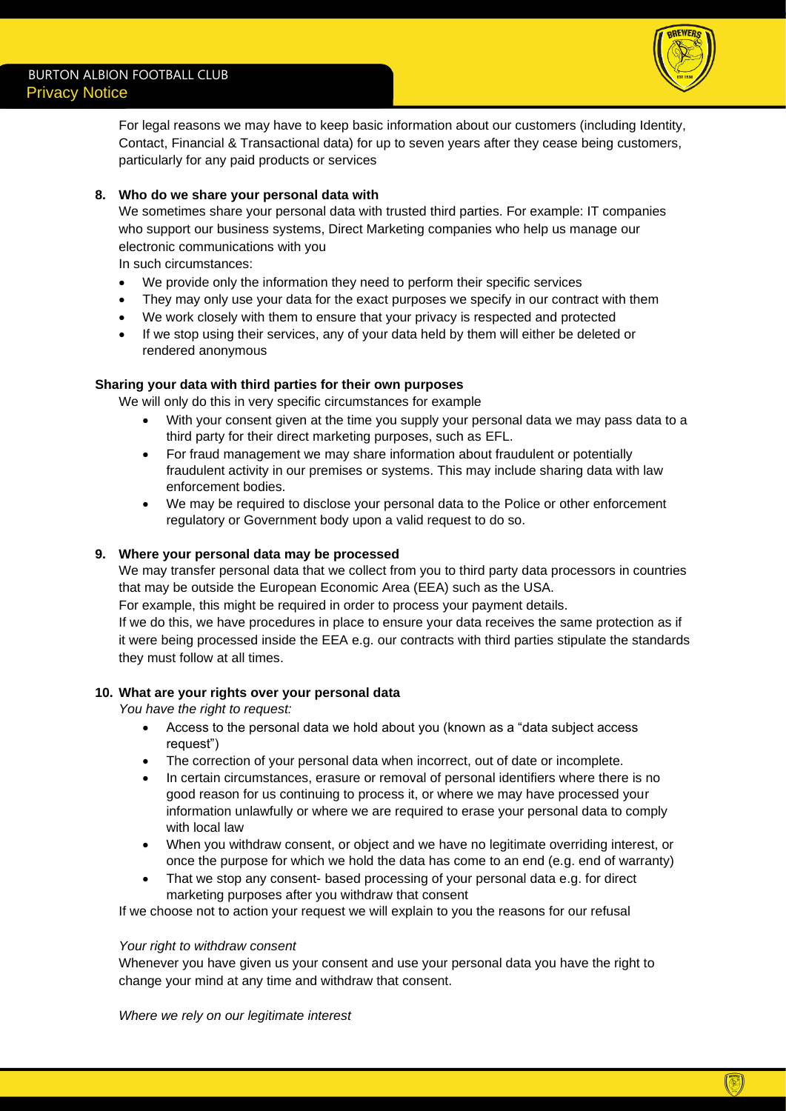

For legal reasons we may have to keep basic information about our customers (including Identity, Contact, Financial & Transactional data) for up to seven years after they cease being customers, particularly for any paid products or services

## **8. Who do we share your personal data with**

We sometimes share your personal data with trusted third parties. For example: IT companies who support our business systems, Direct Marketing companies who help us manage our electronic communications with you

In such circumstances:

- We provide only the information they need to perform their specific services
- They may only use your data for the exact purposes we specify in our contract with them
- We work closely with them to ensure that your privacy is respected and protected
- If we stop using their services, any of your data held by them will either be deleted or rendered anonymous

### **Sharing your data with third parties for their own purposes**

We will only do this in very specific circumstances for example

- With your consent given at the time you supply your personal data we may pass data to a third party for their direct marketing purposes, such as EFL.
- For fraud management we may share information about fraudulent or potentially fraudulent activity in our premises or systems. This may include sharing data with law enforcement bodies.
- We may be required to disclose your personal data to the Police or other enforcement regulatory or Government body upon a valid request to do so.

### **9. Where your personal data may be processed**

We may transfer personal data that we collect from you to third party data processors in countries that may be outside the European Economic Area (EEA) such as the USA.

For example, this might be required in order to process your payment details.

If we do this, we have procedures in place to ensure your data receives the same protection as if it were being processed inside the EEA e.g. our contracts with third parties stipulate the standards they must follow at all times.

#### **10. What are your rights over your personal data**

*You have the right to request:*

- Access to the personal data we hold about you (known as a "data subject access request")
- The correction of your personal data when incorrect, out of date or incomplete.
- In certain circumstances, erasure or removal of personal identifiers where there is no good reason for us continuing to process it, or where we may have processed your information unlawfully or where we are required to erase your personal data to comply with local law
- When you withdraw consent, or object and we have no legitimate overriding interest, or once the purpose for which we hold the data has come to an end (e.g. end of warranty)
- That we stop any consent- based processing of your personal data e.g. for direct marketing purposes after you withdraw that consent

If we choose not to action your request we will explain to you the reasons for our refusal

#### *Your right to withdraw consent*

Whenever you have given us your consent and use your personal data you have the right to change your mind at any time and withdraw that consent.

*Where we rely on our legitimate interest*